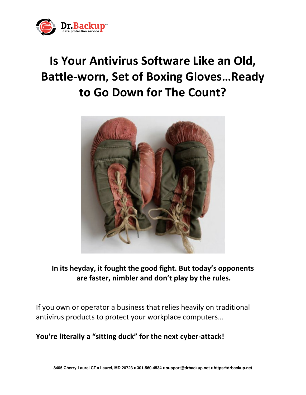

# Is Your Antivirus Software Like an Old, Battle-worn, Set of Boxing Gloves…Ready to Go Down for The Count?



In its heyday, it fought the good fight. But today's opponents are faster, nimbler and don't play by the rules.

If you own or operator a business that relies heavily on traditional antivirus products to protect your workplace computers…

### You're literally a "sitting duck" for the next cyber-attack!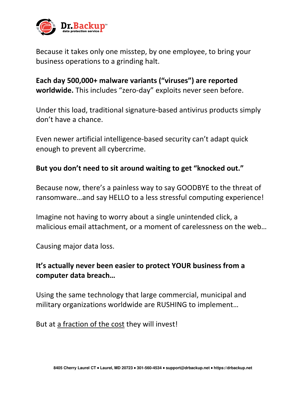

Because it takes only one misstep, by one employee, to bring your business operations to a grinding halt.

Each day 500,000+ malware variants ("viruses") are reported worldwide. This includes "zero-day" exploits never seen before.

Under this load, traditional signature-based antivirus products simply don't have a chance.

Even newer artificial intelligence-based security can't adapt quick enough to prevent all cybercrime.

#### But you don't need to sit around waiting to get "knocked out."

Because now, there's a painless way to say GOODBYE to the threat of ransomware…and say HELLO to a less stressful computing experience!

Imagine not having to worry about a single unintended click, a malicious email attachment, or a moment of carelessness on the web…

Causing major data loss.

### It's actually never been easier to protect YOUR business from a computer data breach…

Using the same technology that large commercial, municipal and military organizations worldwide are RUSHING to implement…

But at a fraction of the cost they will invest!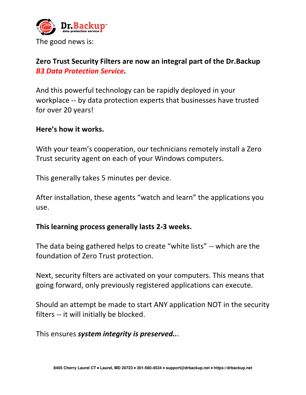

## Zero Trust Security Filters are now an integral part of the Dr.Backup B3 Data Protection Service.

And this powerful technology can be rapidly deployed in your workplace -- by data protection experts that businesses have trusted for over 20 years!

#### Here's how it works.

With your team's cooperation, our technicians remotely install a Zero Trust security agent on each of your Windows computers.

This generally takes 5 minutes per device.

After installation, these agents "watch and learn" the applications you use.

#### This learning process generally lasts 2-3 weeks.

The data being gathered helps to create "white lists" -- which are the foundation of Zero Trust protection.

Next, security filters are activated on your computers. This means that going forward, only previously registered applications can execute.

Should an attempt be made to start ANY application NOT in the security filters -- it will initially be blocked.

This ensures system integrity is preserved...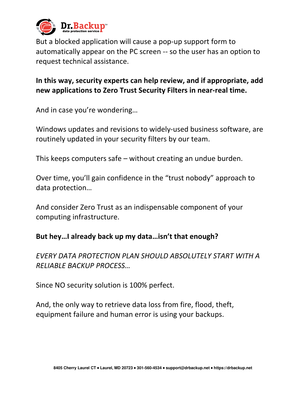

But a blocked application will cause a pop-up support form to automatically appear on the PC screen -- so the user has an option to request technical assistance.

In this way, security experts can help review, and if appropriate, add new applications to Zero Trust Security Filters in near-real time.

And in case you're wondering…

Windows updates and revisions to widely-used business software, are routinely updated in your security filters by our team.

This keeps computers safe – without creating an undue burden.

Over time, you'll gain confidence in the "trust nobody" approach to data protection…

And consider Zero Trust as an indispensable component of your computing infrastructure.

#### But hey…I already back up my data…isn't that enough?

EVERY DATA PROTECTION PLAN SHOULD ABSOLUTELY START WITH A RELIABLE BACKUP PROCESS…

Since NO security solution is 100% perfect.

And, the only way to retrieve data loss from fire, flood, theft, equipment failure and human error is using your backups.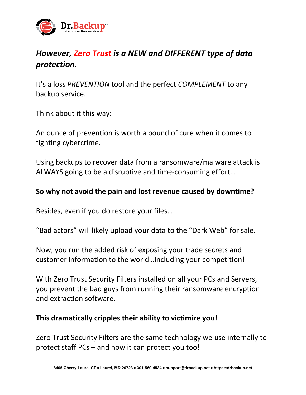

# However, Zero Trust is a NEW and DIFFERENT type of data protection.

It's a loss PREVENTION tool and the perfect COMPLEMENT to any backup service.

Think about it this way:

An ounce of prevention is worth a pound of cure when it comes to fighting cybercrime.

Using backups to recover data from a ransomware/malware attack is ALWAYS going to be a disruptive and time-consuming effort…

#### So why not avoid the pain and lost revenue caused by downtime?

Besides, even if you do restore your files…

"Bad actors" will likely upload your data to the "Dark Web" for sale.

Now, you run the added risk of exposing your trade secrets and customer information to the world…including your competition!

With Zero Trust Security Filters installed on all your PCs and Servers, you prevent the bad guys from running their ransomware encryption and extraction software.

#### This dramatically cripples their ability to victimize you!

Zero Trust Security Filters are the same technology we use internally to protect staff PCs – and now it can protect you too!